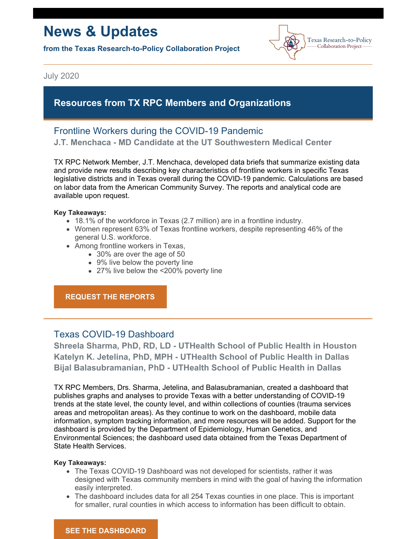# **News & Updates**

**from the Texas Research-to-Policy Collaboration Project**



July 2020

## **Resources from TX RPC Members and Organizations**

# Frontline Workers during the COVID-19 Pandemic

**J.T. Menchaca - MD Candidate at the UT Southwestern Medical Center**

TX RPC Network Member, J.T. Menchaca, developed data briefs that summarize existing data and provide new results describing key characteristics of frontline workers in specific Texas legislative districts and in Texas overall during the COVID-19 pandemic. Calculations are based on labor data from the American Community Survey. The reports and analytical code are available upon request.

#### **Key Takeaways:**

- 18.1% of the workforce in Texas (2.7 million) are in a frontline industry.
- Women represent 63% of Texas frontline workers, despite representing 46% of the general U.S. workforce.
- Among frontline workers in Texas,
	- 30% are over the age of 50
	- 9% live below the poverty line
	- 27% live below the <200% poverty line

**REQUEST THE [REPORTS](mailto:texasrpcnetwork@uth.tmc.edu)**

## Texas COVID-19 Dashboard

**Shreela Sharma, PhD, RD, LD - UTHealth School of Public Health in Houston Katelyn K. Jetelina, PhD, MPH - UTHealth School of Public Health in Dallas Bijal Balasubramanian, PhD - UTHealth School of Public Health in Dallas**

TX RPC Members, Drs. Sharma, Jetelina, and Balasubramanian, created a dashboard that publishes graphs and analyses to provide Texas with a better understanding of COVID-19 trends at the state level, the county level, and within collections of counties (trauma services areas and metropolitan areas). As they continue to work on the dashboard, mobile data information, symptom tracking information, and more resources will be added. Support for the dashboard is provided by the Department of Epidemiology, Human Genetics, and Environmental Sciences; the dashboard used data obtained from the Texas Department of State Health Services.

#### **Key Takeaways:**

- The Texas COVID-19 Dashboard was not developed for scientists, rather it was designed with Texas community members in mind with the goal of having the information easily interpreted.
- The dashboard includes data for all 254 Texas counties in one place. This is important for smaller, rural counties in which access to information has been difficult to obtain.

## **SEE THE [DASHBOARD](https://sph.uth.edu/dept/bads/covid19-dashboard)**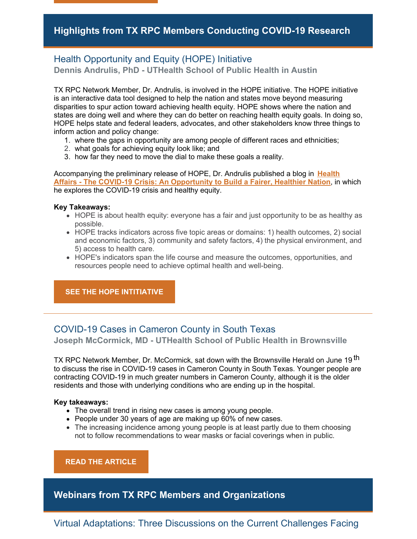## Health Opportunity and Equity (HOPE) Initiative **Dennis Andrulis, PhD - UTHealth School of Public Health in Austin**

TX RPC Network Member, Dr. Andrulis, is involved in the HOPE initiative. The HOPE initiative is an interactive data tool designed to help the nation and states move beyond measuring disparities to spur action toward achieving health equity. HOPE shows where the nation and states are doing well and where they can do better on reaching health equity goals. In doing so, HOPE helps state and federal leaders, advocates, and other stakeholders know three things to inform action and policy change:

- 1. where the gaps in opportunity are among people of different races and ethnicities;
- 2. what goals for achieving equity look like; and
- 3. how far they need to move the dial to make these goals a reality.

[Accompanying](https://www.healthaffairs.org/do/10.1377/hblog20200624.928351/full/) the preliminary release of HOPE, Dr. Andrulis published a blog in **Health Affairs - The COVID-19 Crisis: An Opportunity to Build a Fairer, Healthier Nation**, in which he explores the COVID-19 crisis and healthy equity.

#### **Key Takeaways:**

- HOPE is about health equity: everyone has a fair and just opportunity to be as healthy as possible.
- HOPE tracks indicators across five topic areas or domains: 1) health outcomes, 2) social and economic factors, 3) community and safety factors, 4) the physical environment, and 5) access to health care.
- HOPE's indicators span the life course and measure the outcomes, opportunities, and resources people need to achieve optimal health and well-being.

## **SEE THE HOPE [INTITIATIVE](https://www.hopeinitiative.org/)**

## COVID-19 Cases in Cameron County in South Texas

**Joseph McCormick, MD - UTHealth School of Public Health in Brownsville**

TX RPC Network Member, Dr. McCormick, sat down with the Brownsville Herald on June 19 <sup>th</sup> to discuss the rise in COVID-19 cases in Cameron County in South Texas. Younger people are contracting COVID-19 in much greater numbers in Cameron County, although it is the older residents and those with underlying conditions who are ending up in the hospital.

#### **Key takeaways:**

- The overall trend in rising new cases is among young people.
- People under 30 years of age are making up 60% of new cases.
- The increasing incidence among young people is at least partly due to them choosing not to follow recommendations to wear masks or facial coverings when in public.

**READ THE [ARTICLE](https://www.brownsvilleherald.com/2020/06/15/49319/)**

**Webinars from TX RPC Members and Organizations**

Virtual Adaptations: Three Discussions on the Current Challenges Facing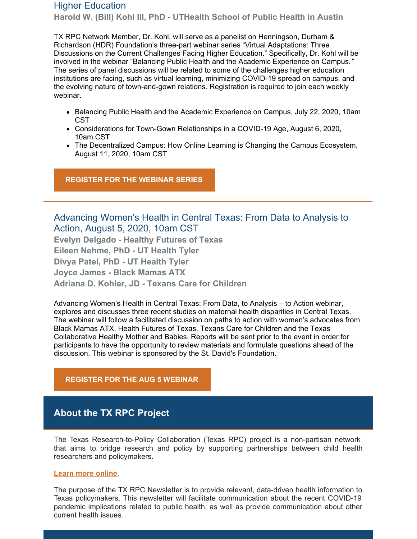## Higher Education

**Harold W. (Bill) Kohl III, PhD - UTHealth School of Public Health in Austin**

TX RPC Network Member, Dr. Kohl, will serve as a panelist on Henningson, Durham & Richardson (HDR) Foundation's three-part webinar series "Virtual Adaptations: Three Discussions on the Current Challenges Facing Higher Education." Specifically, Dr. Kohl will be involved in the webinar "Balancing Public Health and the Academic Experience on Campus.*"* The series of panel discussions will be related to some of the challenges higher education institutions are facing, such as virtual learning, minimizing COVID-19 spread on campus, and the evolving nature of town-and-gown relations. Registration is required to join each weekly webinar.

- Balancing Public Health and the Academic Experience on Campus, July 22, 2020, 10am CST
- Considerations for Town-Gown Relationships in a COVID-19 Age, August 6, 2020, 10am CST
- The Decentralized Campus: How Online Learning is Changing the Campus Ecosystem, August 11, 2020, 10am CST

**[REGISTER](https://www.hdrinc.com/virtual-adaptations?cmp=1&utm_source=AMS&utm_campaign=70571_VirtualAdaptations_invite01&utm_medium=HTMLEmail) FOR THE WEBINAR SERIES**

Advancing Women's Health in Central Texas: From Data to Analysis to Action, August 5, 2020, 10am CST

**Evelyn Delgado - Healthy Futures of Texas Eileen Nehme, PhD - UT Health Tyler Divya Patel, PhD - UT Health Tyler Joyce James - Black Mamas ATX Adriana D. Kohler, JD - Texans Care for Children**

Advancing Women's Health in Central Texas: From Data, to Analysis – to Action webinar, explores and discusses three recent studies on maternal health disparities in Central Texas. The webinar will follow a facilitated discussion on paths to action with women's advocates from Black Mamas ATX, Health Futures of Texas, Texans Care for Children and the Texas Collaborative Healthy Mother and Babies. Reports will be sent prior to the event in order for participants to have the opportunity to review materials and formulate questions ahead of the discussion. This webinar is sponsored by the St. David's Foundation.

**[REGISTER](https://www.eventbrite.com/e/advancing-womens-health-in-central-texas-from-data-to-analysis-to-action-tickets-109971943042) FOR THE AUG 5 WEBINAR**

# **About the TX RPC Project**

The Texas Research-to-Policy Collaboration (Texas RPC) project is a non-partisan network that aims to bridge research and policy by supporting partnerships between child health researchers and policymakers.

#### **Learn more [online](https://sph.uth.edu/research/centers/dell/legislative-initiatives/research-to-policy-collaboration-project)**.

The purpose of the TX RPC Newsletter is to provide relevant, data-driven health information to Texas policymakers. This newsletter will facilitate communication about the recent COVID-19 pandemic implications related to public health, as well as provide communication about other current health issues.